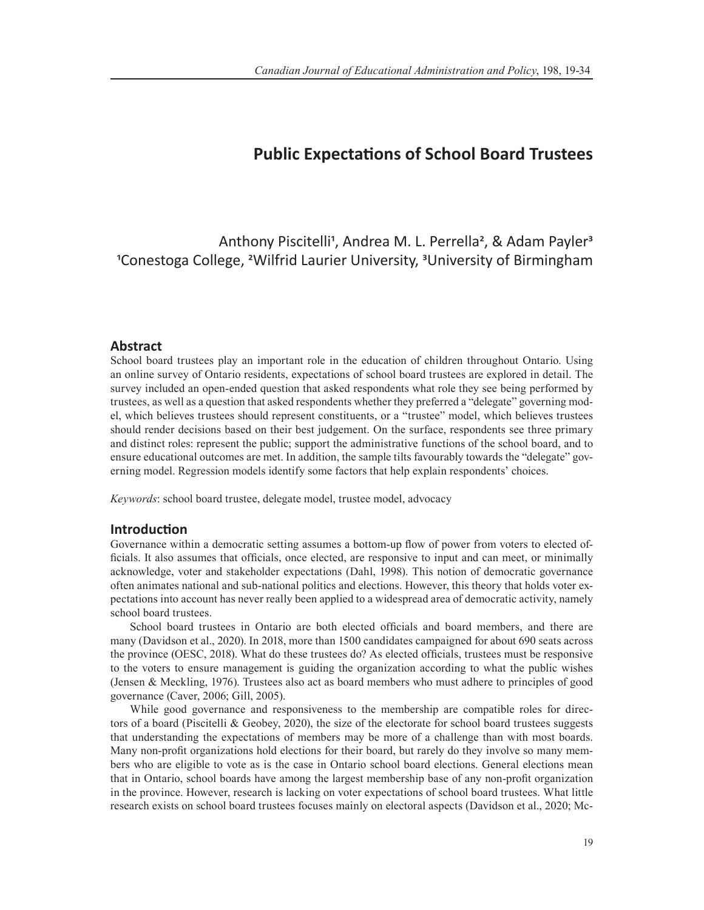# **Public Expectations of School Board Trustees**

Anthony Piscitelli<sup>1</sup>, Andrea M. L. Perrella<sup>2</sup>, & Adam Payler<sup>3</sup> 1Conestoga College, 2Wilfrid Laurier University, 3University of Birmingham

## **Abstract**

School board trustees play an important role in the education of children throughout Ontario. Using an online survey of Ontario residents, expectations of school board trustees are explored in detail. The survey included an open-ended question that asked respondents what role they see being performed by trustees, as well as a question that asked respondents whether they preferred a "delegate" governing model, which believes trustees should represent constituents, or a "trustee" model, which believes trustees should render decisions based on their best judgement. On the surface, respondents see three primary and distinct roles: represent the public; support the administrative functions of the school board, and to ensure educational outcomes are met. In addition, the sample tilts favourably towards the "delegate" governing model. Regression models identify some factors that help explain respondents' choices.

*Keywords*: school board trustee, delegate model, trustee model, advocacy

## **Introduction**

Governance within a democratic setting assumes a bottom-up flow of power from voters to elected officials. It also assumes that officials, once elected, are responsive to input and can meet, or minimally acknowledge, voter and stakeholder expectations (Dahl, 1998). This notion of democratic governance often animates national and sub-national politics and elections. However, this theory that holds voter expectations into account has never really been applied to a widespread area of democratic activity, namely school board trustees.

School board trustees in Ontario are both elected officials and board members, and there are many (Davidson et al., 2020). In 2018, more than 1500 candidates campaigned for about 690 seats across the province (OESC, 2018). What do these trustees do? As elected officials, trustees must be responsive to the voters to ensure management is guiding the organization according to what the public wishes (Jensen & Meckling, 1976). Trustees also act as board members who must adhere to principles of good governance (Caver, 2006; Gill, 2005).

While good governance and responsiveness to the membership are compatible roles for directors of a board (Piscitelli & Geobey, 2020), the size of the electorate for school board trustees suggests that understanding the expectations of members may be more of a challenge than with most boards. Many non-profit organizations hold elections for their board, but rarely do they involve so many members who are eligible to vote as is the case in Ontario school board elections. General elections mean that in Ontario, school boards have among the largest membership base of any non-profit organization in the province. However, research is lacking on voter expectations of school board trustees. What little research exists on school board trustees focuses mainly on electoral aspects (Davidson et al., 2020; Mc-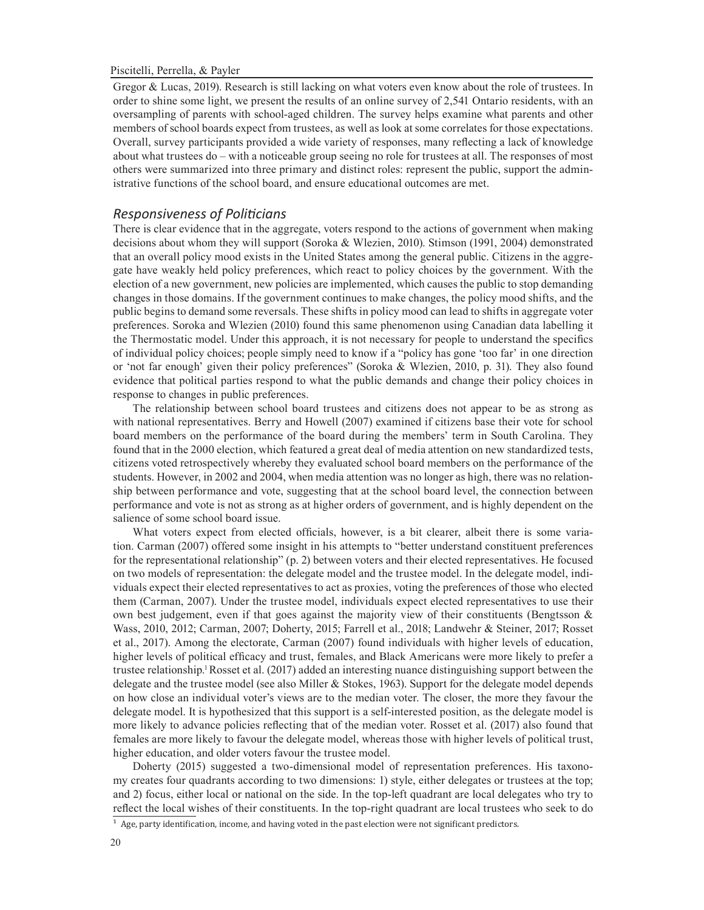Gregor & Lucas, 2019). Research is still lacking on what voters even know about the role of trustees. In order to shine some light, we present the results of an online survey of 2,541 Ontario residents, with an oversampling of parents with school-aged children. The survey helps examine what parents and other members of school boards expect from trustees, as well as look at some correlates for those expectations. Overall, survey participants provided a wide variety of responses, many reflecting a lack of knowledge about what trustees do – with a noticeable group seeing no role for trustees at all. The responses of most others were summarized into three primary and distinct roles: represent the public, support the administrative functions of the school board, and ensure educational outcomes are met.

## *Responsiveness of Politicians*

There is clear evidence that in the aggregate, voters respond to the actions of government when making decisions about whom they will support (Soroka & Wlezien, 2010). Stimson (1991, 2004) demonstrated that an overall policy mood exists in the United States among the general public. Citizens in the aggregate have weakly held policy preferences, which react to policy choices by the government. With the election of a new government, new policies are implemented, which causes the public to stop demanding changes in those domains. If the government continues to make changes, the policy mood shifts, and the public begins to demand some reversals. These shifts in policy mood can lead to shifts in aggregate voter preferences. Soroka and Wlezien (2010) found this same phenomenon using Canadian data labelling it the Thermostatic model. Under this approach, it is not necessary for people to understand the specifics of individual policy choices; people simply need to know if a "policy has gone 'too far' in one direction or 'not far enough' given their policy preferences" (Soroka & Wlezien, 2010, p. 31). They also found evidence that political parties respond to what the public demands and change their policy choices in response to changes in public preferences.

The relationship between school board trustees and citizens does not appear to be as strong as with national representatives. Berry and Howell (2007) examined if citizens base their vote for school board members on the performance of the board during the members' term in South Carolina. They found that in the 2000 election, which featured a great deal of media attention on new standardized tests, citizens voted retrospectively whereby they evaluated school board members on the performance of the students. However, in 2002 and 2004, when media attention was no longer as high, there was no relationship between performance and vote, suggesting that at the school board level, the connection between performance and vote is not as strong as at higher orders of government, and is highly dependent on the salience of some school board issue.

What voters expect from elected officials, however, is a bit clearer, albeit there is some variation. Carman (2007) offered some insight in his attempts to "better understand constituent preferences for the representational relationship" (p. 2) between voters and their elected representatives. He focused on two models of representation: the delegate model and the trustee model. In the delegate model, individuals expect their elected representatives to act as proxies, voting the preferences of those who elected them (Carman, 2007). Under the trustee model, individuals expect elected representatives to use their own best judgement, even if that goes against the majority view of their constituents (Bengtsson & Wass, 2010, 2012; Carman, 2007; Doherty, 2015; Farrell et al., 2018; Landwehr & Steiner, 2017; Rosset et al., 2017). Among the electorate, Carman (2007) found individuals with higher levels of education, higher levels of political efficacy and trust, females, and Black Americans were more likely to prefer a trustee relationship.1Rosset et al. (2017) added an interesting nuance distinguishing support between the delegate and the trustee model (see also Miller & Stokes, 1963). Support for the delegate model depends on how close an individual voter's views are to the median voter. The closer, the more they favour the delegate model. It is hypothesized that this support is a self-interested position, as the delegate model is more likely to advance policies reflecting that of the median voter. Rosset et al. (2017) also found that females are more likely to favour the delegate model, whereas those with higher levels of political trust, higher education, and older voters favour the trustee model.

Doherty (2015) suggested a two-dimensional model of representation preferences. His taxonomy creates four quadrants according to two dimensions: 1) style, either delegates or trustees at the top; and 2) focus, either local or national on the side. In the top-left quadrant are local delegates who try to reflect the local wishes of their constituents. In the top-right quadrant are local trustees who seek to do

 $1$  Age, party identification, income, and having voted in the past election were not significant predictors.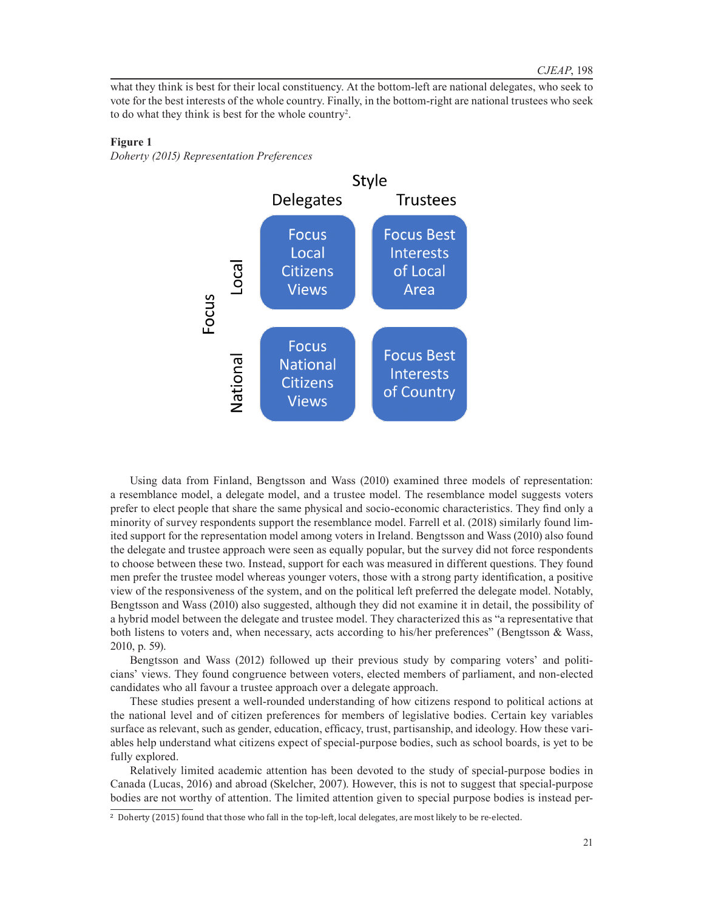what they think is best for their local constituency. At the bottom-left are national delegates, who seek to vote for the best interests of the whole country. Finally, in the bottom-right are national trustees who seek to do what they think is best for the whole country2 .

#### **Figure 1**

*Doherty (2015) Representation Preferences*



Using data from Finland, Bengtsson and Wass (2010) examined three models of representation: a resemblance model, a delegate model, and a trustee model. The resemblance model suggests voters prefer to elect people that share the same physical and socio-economic characteristics. They find only a minority of survey respondents support the resemblance model. Farrell et al. (2018) similarly found limited support for the representation model among voters in Ireland. Bengtsson and Wass (2010) also found the delegate and trustee approach were seen as equally popular, but the survey did not force respondents to choose between these two. Instead, support for each was measured in different questions. They found men prefer the trustee model whereas younger voters, those with a strong party identification, a positive view of the responsiveness of the system, and on the political left preferred the delegate model. Notably, Bengtsson and Wass (2010) also suggested, although they did not examine it in detail, the possibility of a hybrid model between the delegate and trustee model. They characterized this as "a representative that both listens to voters and, when necessary, acts according to his/her preferences" (Bengtsson & Wass, 2010, p. 59).

Bengtsson and Wass (2012) followed up their previous study by comparing voters' and politicians' views. They found congruence between voters, elected members of parliament, and non-elected candidates who all favour a trustee approach over a delegate approach.

These studies present a well-rounded understanding of how citizens respond to political actions at the national level and of citizen preferences for members of legislative bodies. Certain key variables surface as relevant, such as gender, education, efficacy, trust, partisanship, and ideology. How these variables help understand what citizens expect of special-purpose bodies, such as school boards, is yet to be fully explored.

Relatively limited academic attention has been devoted to the study of special-purpose bodies in Canada (Lucas, 2016) and abroad (Skelcher, 2007). However, this is not to suggest that special-purpose bodies are not worthy of attention. The limited attention given to special purpose bodies is instead per-

<sup>2</sup> Doherty (2015) found that those who fall in the top-left, local delegates, are most likely to be re-elected.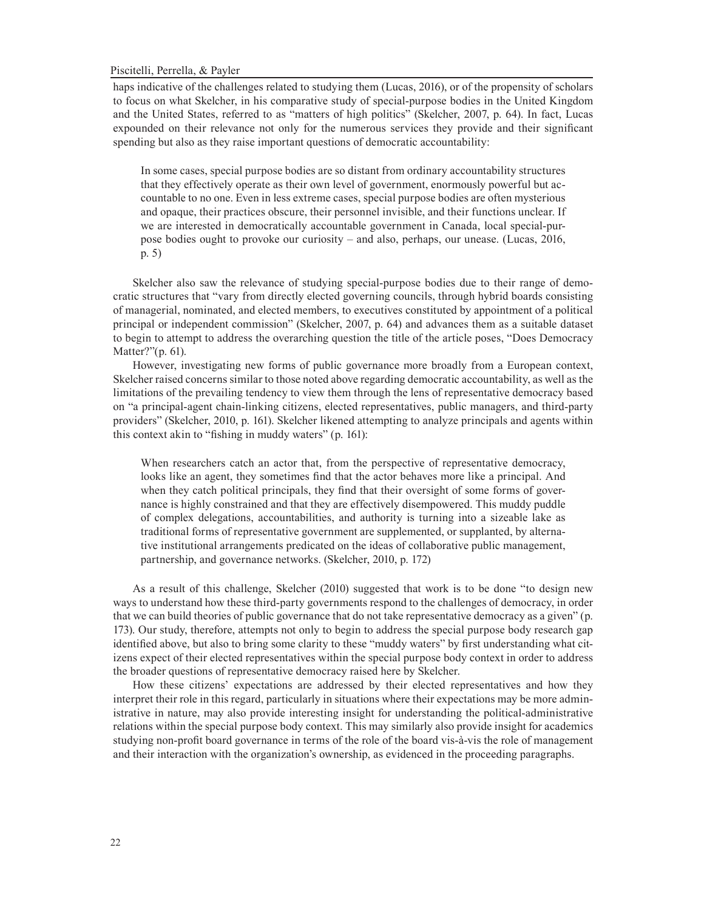haps indicative of the challenges related to studying them (Lucas, 2016), or of the propensity of scholars to focus on what Skelcher, in his comparative study of special-purpose bodies in the United Kingdom and the United States, referred to as "matters of high politics" (Skelcher, 2007, p. 64). In fact, Lucas expounded on their relevance not only for the numerous services they provide and their significant spending but also as they raise important questions of democratic accountability:

In some cases, special purpose bodies are so distant from ordinary accountability structures that they effectively operate as their own level of government, enormously powerful but accountable to no one. Even in less extreme cases, special purpose bodies are often mysterious and opaque, their practices obscure, their personnel invisible, and their functions unclear. If we are interested in democratically accountable government in Canada, local special-purpose bodies ought to provoke our curiosity – and also, perhaps, our unease. (Lucas, 2016, p. 5)

Skelcher also saw the relevance of studying special-purpose bodies due to their range of democratic structures that "vary from directly elected governing councils, through hybrid boards consisting of managerial, nominated, and elected members, to executives constituted by appointment of a political principal or independent commission" (Skelcher, 2007, p. 64) and advances them as a suitable dataset to begin to attempt to address the overarching question the title of the article poses, "Does Democracy Matter?"(p. 61).

However, investigating new forms of public governance more broadly from a European context, Skelcher raised concerns similar to those noted above regarding democratic accountability, as well as the limitations of the prevailing tendency to view them through the lens of representative democracy based on "a principal-agent chain-linking citizens, elected representatives, public managers, and third-party providers" (Skelcher, 2010, p. 161). Skelcher likened attempting to analyze principals and agents within this context akin to "fishing in muddy waters" (p. 161):

When researchers catch an actor that, from the perspective of representative democracy, looks like an agent, they sometimes find that the actor behaves more like a principal. And when they catch political principals, they find that their oversight of some forms of governance is highly constrained and that they are effectively disempowered. This muddy puddle of complex delegations, accountabilities, and authority is turning into a sizeable lake as traditional forms of representative government are supplemented, or supplanted, by alternative institutional arrangements predicated on the ideas of collaborative public management, partnership, and governance networks. (Skelcher, 2010, p. 172)

As a result of this challenge, Skelcher (2010) suggested that work is to be done "to design new ways to understand how these third-party governments respond to the challenges of democracy, in order that we can build theories of public governance that do not take representative democracy as a given" (p. 173). Our study, therefore, attempts not only to begin to address the special purpose body research gap identified above, but also to bring some clarity to these "muddy waters" by first understanding what citizens expect of their elected representatives within the special purpose body context in order to address the broader questions of representative democracy raised here by Skelcher.

How these citizens' expectations are addressed by their elected representatives and how they interpret their role in this regard, particularly in situations where their expectations may be more administrative in nature, may also provide interesting insight for understanding the political-administrative relations within the special purpose body context. This may similarly also provide insight for academics studying non-profit board governance in terms of the role of the board vis-à-vis the role of management and their interaction with the organization's ownership, as evidenced in the proceeding paragraphs.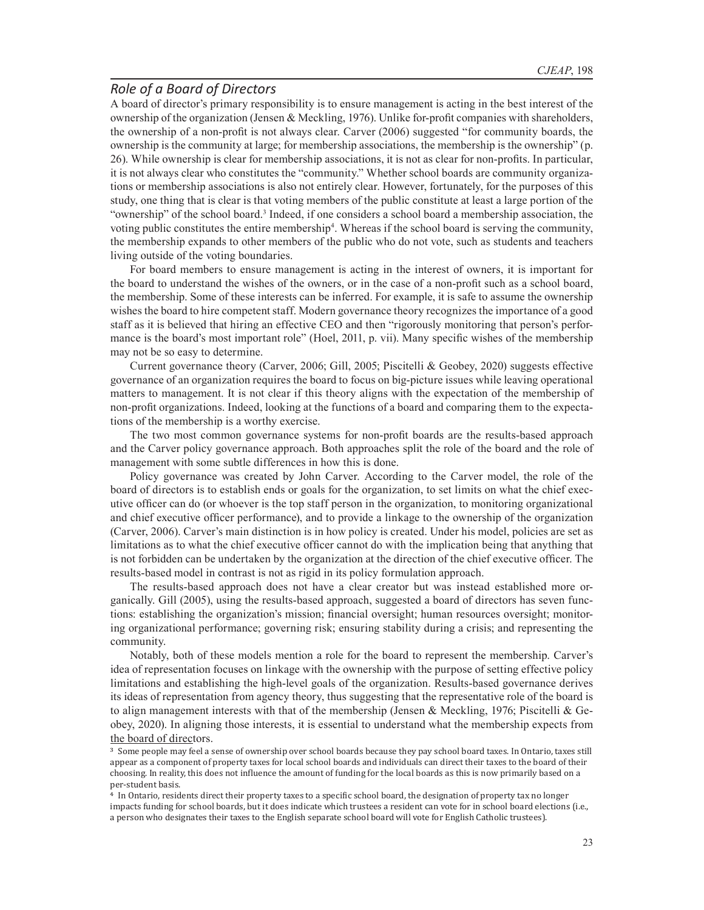## *Role of a Board of Directors*

A board of director's primary responsibility is to ensure management is acting in the best interest of the ownership of the organization (Jensen & Meckling, 1976). Unlike for-profit companies with shareholders, the ownership of a non-profit is not always clear. Carver (2006) suggested "for community boards, the ownership is the community at large; for membership associations, the membership is the ownership" (p. 26). While ownership is clear for membership associations, it is not as clear for non-profits. In particular, it is not always clear who constitutes the "community." Whether school boards are community organizations or membership associations is also not entirely clear. However, fortunately, for the purposes of this study, one thing that is clear is that voting members of the public constitute at least a large portion of the "ownership" of the school board.3 Indeed, if one considers a school board a membership association, the voting public constitutes the entire membership4 . Whereas if the school board is serving the community, the membership expands to other members of the public who do not vote, such as students and teachers living outside of the voting boundaries.

For board members to ensure management is acting in the interest of owners, it is important for the board to understand the wishes of the owners, or in the case of a non-profit such as a school board, the membership. Some of these interests can be inferred. For example, it is safe to assume the ownership wishes the board to hire competent staff. Modern governance theory recognizes the importance of a good staff as it is believed that hiring an effective CEO and then "rigorously monitoring that person's performance is the board's most important role" (Hoel, 2011, p. vii). Many specific wishes of the membership may not be so easy to determine.

Current governance theory (Carver, 2006; Gill, 2005; Piscitelli & Geobey, 2020) suggests effective governance of an organization requires the board to focus on big-picture issues while leaving operational matters to management. It is not clear if this theory aligns with the expectation of the membership of non-profit organizations. Indeed, looking at the functions of a board and comparing them to the expectations of the membership is a worthy exercise.

The two most common governance systems for non-profit boards are the results-based approach and the Carver policy governance approach. Both approaches split the role of the board and the role of management with some subtle differences in how this is done.

Policy governance was created by John Carver. According to the Carver model, the role of the board of directors is to establish ends or goals for the organization, to set limits on what the chief executive officer can do (or whoever is the top staff person in the organization, to monitoring organizational and chief executive officer performance), and to provide a linkage to the ownership of the organization (Carver, 2006). Carver's main distinction is in how policy is created. Under his model, policies are set as limitations as to what the chief executive officer cannot do with the implication being that anything that is not forbidden can be undertaken by the organization at the direction of the chief executive officer. The results-based model in contrast is not as rigid in its policy formulation approach.

The results-based approach does not have a clear creator but was instead established more organically. Gill (2005), using the results-based approach, suggested a board of directors has seven functions: establishing the organization's mission; financial oversight; human resources oversight; monitoring organizational performance; governing risk; ensuring stability during a crisis; and representing the community.

Notably, both of these models mention a role for the board to represent the membership. Carver's idea of representation focuses on linkage with the ownership with the purpose of setting effective policy limitations and establishing the high-level goals of the organization. Results-based governance derives its ideas of representation from agency theory, thus suggesting that the representative role of the board is to align management interests with that of the membership (Jensen & Meckling, 1976; Piscitelli & Geobey, 2020). In aligning those interests, it is essential to understand what the membership expects from the board of directors.

<sup>3</sup> Some people may feel a sense of ownership over school boards because they pay school board taxes. In Ontario, taxes still appear as a component of property taxes for local school boards and individuals can direct their taxes to the board of their choosing. In reality, this does not influence the amount of funding for the local boards as this is now primarily based on a per-student basis.

<sup>4</sup> In Ontario, residents direct their property taxes to a specific school board, the designation of property tax no longer impacts funding for school boards, but it does indicate which trustees a resident can vote for in school board elections (i.e., a person who designates their taxes to the English separate school board will vote for English Catholic trustees).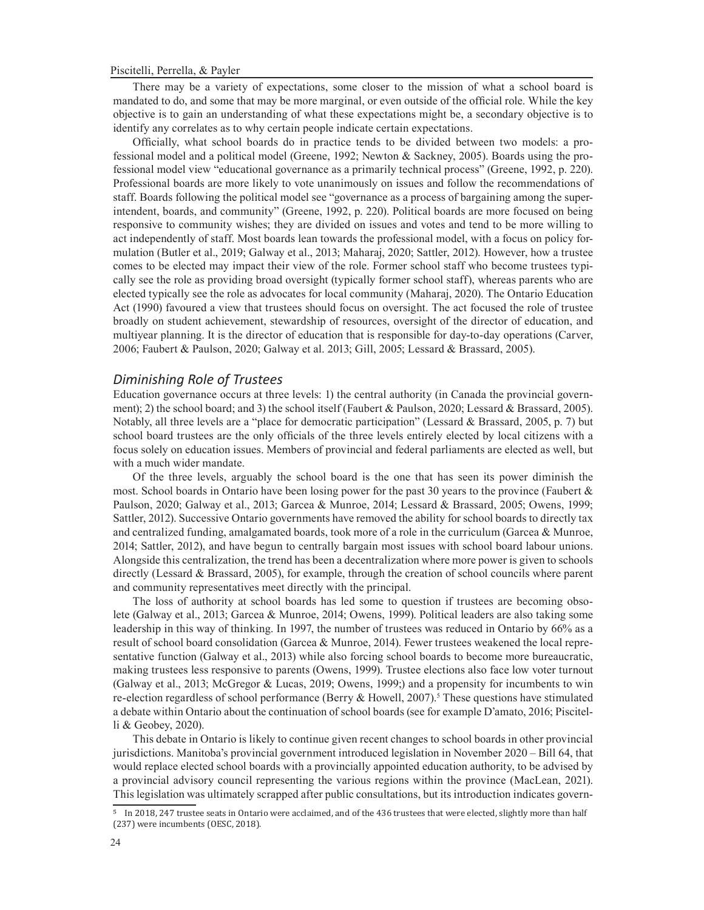There may be a variety of expectations, some closer to the mission of what a school board is mandated to do, and some that may be more marginal, or even outside of the official role. While the key objective is to gain an understanding of what these expectations might be, a secondary objective is to identify any correlates as to why certain people indicate certain expectations.

Officially, what school boards do in practice tends to be divided between two models: a professional model and a political model (Greene, 1992; Newton & Sackney, 2005). Boards using the professional model view "educational governance as a primarily technical process" (Greene, 1992, p. 220). Professional boards are more likely to vote unanimously on issues and follow the recommendations of staff. Boards following the political model see "governance as a process of bargaining among the superintendent, boards, and community" (Greene, 1992, p. 220). Political boards are more focused on being responsive to community wishes; they are divided on issues and votes and tend to be more willing to act independently of staff. Most boards lean towards the professional model, with a focus on policy formulation (Butler et al., 2019; Galway et al., 2013; Maharaj, 2020; Sattler, 2012). However, how a trustee comes to be elected may impact their view of the role. Former school staff who become trustees typically see the role as providing broad oversight (typically former school staff), whereas parents who are elected typically see the role as advocates for local community (Maharaj, 2020). The Ontario Education Act (1990) favoured a view that trustees should focus on oversight. The act focused the role of trustee broadly on student achievement, stewardship of resources, oversight of the director of education, and multiyear planning. It is the director of education that is responsible for day-to-day operations (Carver, 2006; Faubert & Paulson, 2020; Galway et al. 2013; Gill, 2005; Lessard & Brassard, 2005).

## *Diminishing Role of Trustees*

Education governance occurs at three levels: 1) the central authority (in Canada the provincial government); 2) the school board; and 3) the school itself (Faubert & Paulson, 2020; Lessard & Brassard, 2005). Notably, all three levels are a "place for democratic participation" (Lessard & Brassard, 2005, p. 7) but school board trustees are the only officials of the three levels entirely elected by local citizens with a focus solely on education issues. Members of provincial and federal parliaments are elected as well, but with a much wider mandate.

Of the three levels, arguably the school board is the one that has seen its power diminish the most. School boards in Ontario have been losing power for the past 30 years to the province (Faubert & Paulson, 2020; Galway et al., 2013; Garcea & Munroe, 2014; Lessard & Brassard, 2005; Owens, 1999; Sattler, 2012). Successive Ontario governments have removed the ability for school boards to directly tax and centralized funding, amalgamated boards, took more of a role in the curriculum (Garcea & Munroe, 2014; Sattler, 2012), and have begun to centrally bargain most issues with school board labour unions. Alongside this centralization, the trend has been a decentralization where more power is given to schools directly (Lessard & Brassard, 2005), for example, through the creation of school councils where parent and community representatives meet directly with the principal.

The loss of authority at school boards has led some to question if trustees are becoming obsolete (Galway et al., 2013; Garcea & Munroe, 2014; Owens, 1999). Political leaders are also taking some leadership in this way of thinking. In 1997, the number of trustees was reduced in Ontario by 66% as a result of school board consolidation (Garcea & Munroe, 2014). Fewer trustees weakened the local representative function (Galway et al., 2013) while also forcing school boards to become more bureaucratic, making trustees less responsive to parents (Owens, 1999). Trustee elections also face low voter turnout (Galway et al., 2013; McGregor & Lucas, 2019; Owens, 1999;) and a propensity for incumbents to win re-election regardless of school performance (Berry & Howell, 2007).<sup>5</sup> These questions have stimulated a debate within Ontario about the continuation of school boards (see for example D'amato, 2016; Piscitelli & Geobey, 2020).

This debate in Ontario is likely to continue given recent changes to school boards in other provincial jurisdictions. Manitoba's provincial government introduced legislation in November 2020 – Bill 64, that would replace elected school boards with a provincially appointed education authority, to be advised by a provincial advisory council representing the various regions within the province (MacLean, 2021). This legislation was ultimately scrapped after public consultations, but its introduction indicates govern-

<sup>5</sup> In 2018, 247 trustee seats in Ontario were acclaimed, and of the 436 trustees that were elected, slightly more than half (237) were incumbents (OESC, 2018).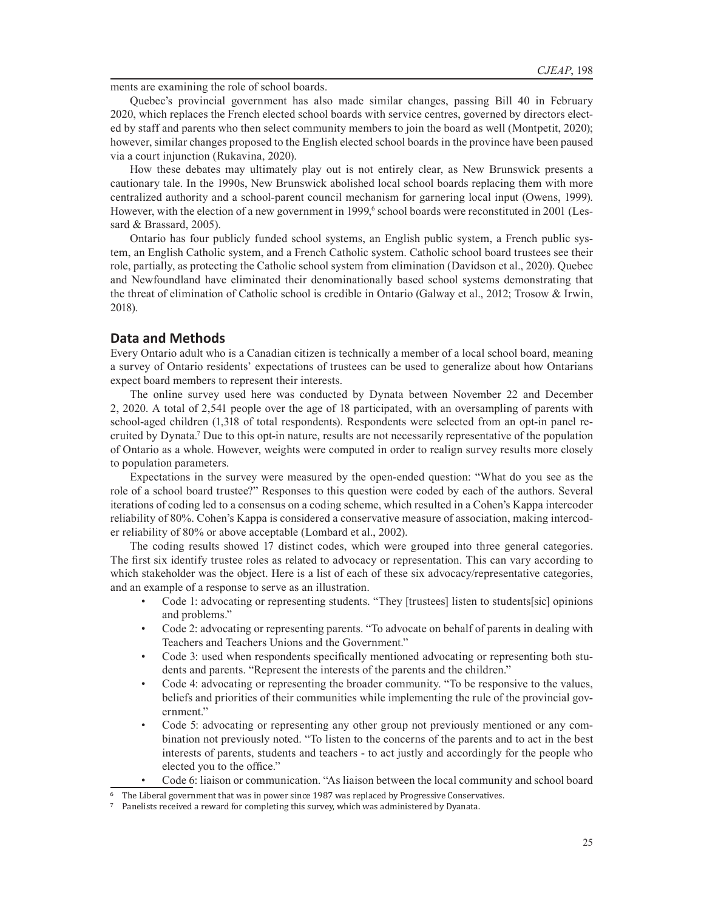ments are examining the role of school boards.

Quebec's provincial government has also made similar changes, passing Bill 40 in February 2020, which replaces the French elected school boards with service centres, governed by directors elected by staff and parents who then select community members to join the board as well (Montpetit, 2020); however, similar changes proposed to the English elected school boards in the province have been paused via a court injunction (Rukavina, 2020).

How these debates may ultimately play out is not entirely clear, as New Brunswick presents a cautionary tale. In the 1990s, New Brunswick abolished local school boards replacing them with more centralized authority and a school-parent council mechanism for garnering local input (Owens, 1999). However, with the election of a new government in 1999,<sup>6</sup> school boards were reconstituted in 2001 (Lessard & Brassard, 2005).

Ontario has four publicly funded school systems, an English public system, a French public system, an English Catholic system, and a French Catholic system. Catholic school board trustees see their role, partially, as protecting the Catholic school system from elimination (Davidson et al., 2020). Quebec and Newfoundland have eliminated their denominationally based school systems demonstrating that the threat of elimination of Catholic school is credible in Ontario (Galway et al., 2012; Trosow & Irwin, 2018).

## **Data and Methods**

Every Ontario adult who is a Canadian citizen is technically a member of a local school board, meaning a survey of Ontario residents' expectations of trustees can be used to generalize about how Ontarians expect board members to represent their interests.

The online survey used here was conducted by Dynata between November 22 and December 2, 2020. A total of 2,541 people over the age of 18 participated, with an oversampling of parents with school-aged children (1,318 of total respondents). Respondents were selected from an opt-in panel recruited by Dynata.7 Due to this opt-in nature, results are not necessarily representative of the population of Ontario as a whole. However, weights were computed in order to realign survey results more closely to population parameters.

Expectations in the survey were measured by the open-ended question: "What do you see as the role of a school board trustee?" Responses to this question were coded by each of the authors. Several iterations of coding led to a consensus on a coding scheme, which resulted in a Cohen's Kappa intercoder reliability of 80%. Cohen's Kappa is considered a conservative measure of association, making intercoder reliability of 80% or above acceptable (Lombard et al., 2002).

The coding results showed 17 distinct codes, which were grouped into three general categories. The first six identify trustee roles as related to advocacy or representation. This can vary according to which stakeholder was the object. Here is a list of each of these six advocacy/representative categories, and an example of a response to serve as an illustration.

- Code 1: advocating or representing students. "They [trustees] listen to students[sic] opinions and problems."
- Code 2: advocating or representing parents. "To advocate on behalf of parents in dealing with Teachers and Teachers Unions and the Government."
- Code 3: used when respondents specifically mentioned advocating or representing both students and parents. "Represent the interests of the parents and the children."
- Code 4: advocating or representing the broader community. "To be responsive to the values, beliefs and priorities of their communities while implementing the rule of the provincial government."
- Code 5: advocating or representing any other group not previously mentioned or any combination not previously noted. "To listen to the concerns of the parents and to act in the best interests of parents, students and teachers - to act justly and accordingly for the people who elected you to the office."
- Code 6: liaison or communication. "As liaison between the local community and school board

The Liberal government that was in power since 1987 was replaced by Progressive Conservatives.

Panelists received a reward for completing this survey, which was administered by Dyanata.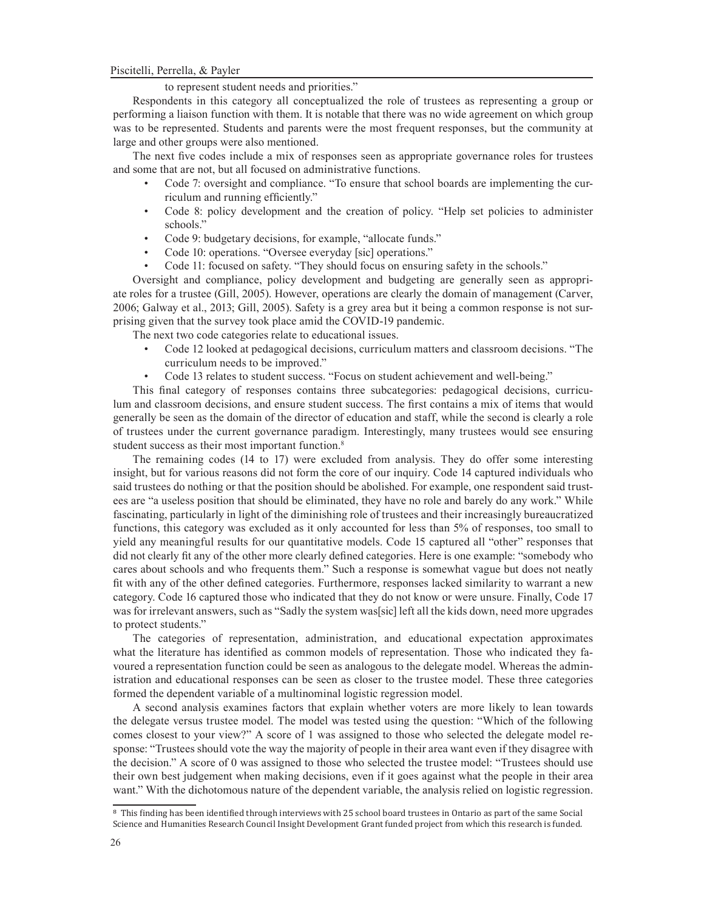#### to represent student needs and priorities."

Respondents in this category all conceptualized the role of trustees as representing a group or performing a liaison function with them. It is notable that there was no wide agreement on which group was to be represented. Students and parents were the most frequent responses, but the community at large and other groups were also mentioned.

The next five codes include a mix of responses seen as appropriate governance roles for trustees and some that are not, but all focused on administrative functions.

- Code 7: oversight and compliance. "To ensure that school boards are implementing the curriculum and running efficiently."
- Code 8: policy development and the creation of policy. "Help set policies to administer schools."
- Code 9: budgetary decisions, for example, "allocate funds."
- Code 10: operations. "Oversee everyday [sic] operations."
- Code 11: focused on safety. "They should focus on ensuring safety in the schools."

Oversight and compliance, policy development and budgeting are generally seen as appropriate roles for a trustee (Gill, 2005). However, operations are clearly the domain of management (Carver, 2006; Galway et al., 2013; Gill, 2005). Safety is a grey area but it being a common response is not surprising given that the survey took place amid the COVID-19 pandemic.

- The next two code categories relate to educational issues.
	- Code 12 looked at pedagogical decisions, curriculum matters and classroom decisions. "The curriculum needs to be improved."
	- Code 13 relates to student success. "Focus on student achievement and well-being."

This final category of responses contains three subcategories: pedagogical decisions, curriculum and classroom decisions, and ensure student success. The first contains a mix of items that would generally be seen as the domain of the director of education and staff, while the second is clearly a role of trustees under the current governance paradigm. Interestingly, many trustees would see ensuring student success as their most important function.<sup>8</sup>

The remaining codes (14 to 17) were excluded from analysis. They do offer some interesting insight, but for various reasons did not form the core of our inquiry. Code 14 captured individuals who said trustees do nothing or that the position should be abolished. For example, one respondent said trustees are "a useless position that should be eliminated, they have no role and barely do any work." While fascinating, particularly in light of the diminishing role of trustees and their increasingly bureaucratized functions, this category was excluded as it only accounted for less than 5% of responses, too small to yield any meaningful results for our quantitative models. Code 15 captured all "other" responses that did not clearly fit any of the other more clearly defined categories. Here is one example: "somebody who cares about schools and who frequents them." Such a response is somewhat vague but does not neatly fit with any of the other defined categories. Furthermore, responses lacked similarity to warrant a new category. Code 16 captured those who indicated that they do not know or were unsure. Finally, Code 17 was for irrelevant answers, such as "Sadly the system was [sic] left all the kids down, need more upgrades to protect students."

The categories of representation, administration, and educational expectation approximates what the literature has identified as common models of representation. Those who indicated they favoured a representation function could be seen as analogous to the delegate model. Whereas the administration and educational responses can be seen as closer to the trustee model. These three categories formed the dependent variable of a multinominal logistic regression model.

A second analysis examines factors that explain whether voters are more likely to lean towards the delegate versus trustee model. The model was tested using the question: "Which of the following comes closest to your view?" A score of 1 was assigned to those who selected the delegate model response: "Trustees should vote the way the majority of people in their area want even if they disagree with the decision." A score of 0 was assigned to those who selected the trustee model: "Trustees should use their own best judgement when making decisions, even if it goes against what the people in their area want." With the dichotomous nature of the dependent variable, the analysis relied on logistic regression.

<sup>8</sup> This finding has been identified through interviews with 25 school board trustees in Ontario as part of the same Social Science and Humanities Research Council Insight Development Grant funded project from which this research is funded.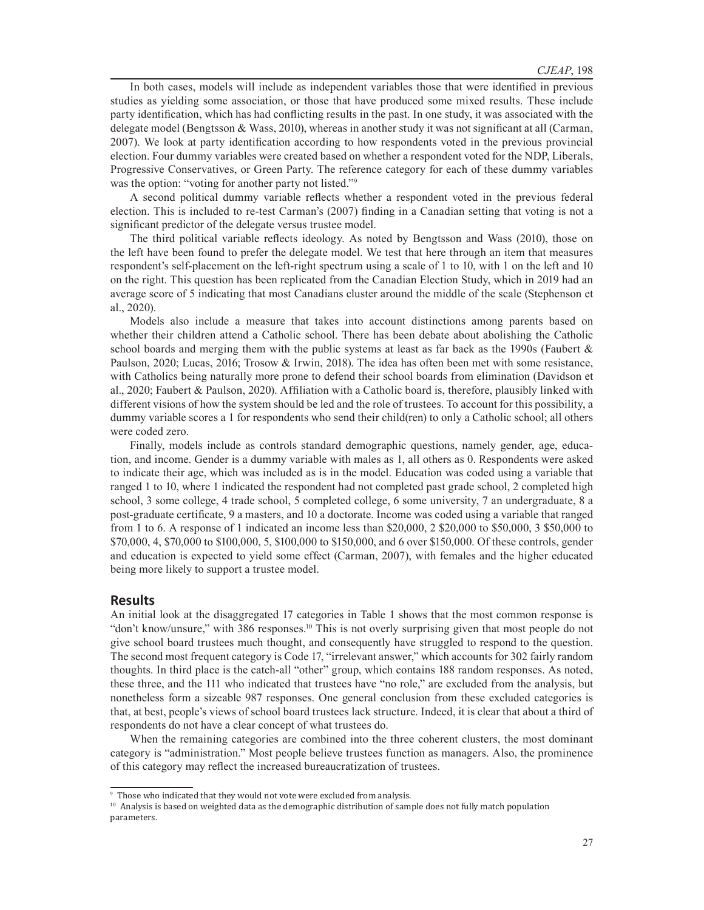In both cases, models will include as independent variables those that were identified in previous studies as yielding some association, or those that have produced some mixed results. These include party identification, which has had conflicting results in the past. In one study, it was associated with the delegate model (Bengtsson & Wass, 2010), whereas in another study it was not significant at all (Carman, 2007). We look at party identification according to how respondents voted in the previous provincial election. Four dummy variables were created based on whether a respondent voted for the NDP, Liberals, Progressive Conservatives, or Green Party. The reference category for each of these dummy variables was the option: "voting for another party not listed."<sup>9</sup>

A second political dummy variable reflects whether a respondent voted in the previous federal election. This is included to re-test Carman's (2007) finding in a Canadian setting that voting is not a significant predictor of the delegate versus trustee model.

The third political variable reflects ideology. As noted by Bengtsson and Wass (2010), those on the left have been found to prefer the delegate model. We test that here through an item that measures respondent's self-placement on the left-right spectrum using a scale of 1 to 10, with 1 on the left and 10 on the right. This question has been replicated from the Canadian Election Study, which in 2019 had an average score of 5 indicating that most Canadians cluster around the middle of the scale (Stephenson et al., 2020).

Models also include a measure that takes into account distinctions among parents based on whether their children attend a Catholic school. There has been debate about abolishing the Catholic school boards and merging them with the public systems at least as far back as the 1990s (Faubert  $\&$ Paulson, 2020; Lucas, 2016; Trosow & Irwin, 2018). The idea has often been met with some resistance, with Catholics being naturally more prone to defend their school boards from elimination (Davidson et al., 2020; Faubert & Paulson, 2020). Affiliation with a Catholic board is, therefore, plausibly linked with different visions of how the system should be led and the role of trustees. To account for this possibility, a dummy variable scores a 1 for respondents who send their child(ren) to only a Catholic school; all others were coded zero.

Finally, models include as controls standard demographic questions, namely gender, age, education, and income. Gender is a dummy variable with males as 1, all others as 0. Respondents were asked to indicate their age, which was included as is in the model. Education was coded using a variable that ranged 1 to 10, where 1 indicated the respondent had not completed past grade school, 2 completed high school, 3 some college, 4 trade school, 5 completed college, 6 some university, 7 an undergraduate, 8 a post-graduate certificate, 9 a masters, and 10 a doctorate. Income was coded using a variable that ranged from 1 to 6. A response of 1 indicated an income less than \$20,000, 2 \$20,000 to \$50,000, 3 \$50,000 to \$70,000, 4, \$70,000 to \$100,000, 5, \$100,000 to \$150,000, and 6 over \$150,000. Of these controls, gender and education is expected to yield some effect (Carman, 2007), with females and the higher educated being more likely to support a trustee model.

### **Results**

An initial look at the disaggregated 17 categories in Table 1 shows that the most common response is "don't know/unsure," with 386 responses.10 This is not overly surprising given that most people do not give school board trustees much thought, and consequently have struggled to respond to the question. The second most frequent category is Code 17, "irrelevant answer," which accounts for 302 fairly random thoughts. In third place is the catch-all "other" group, which contains 188 random responses. As noted, these three, and the 111 who indicated that trustees have "no role," are excluded from the analysis, but nonetheless form a sizeable 987 responses. One general conclusion from these excluded categories is that, at best, people's views of school board trustees lack structure. Indeed, it is clear that about a third of respondents do not have a clear concept of what trustees do.

When the remaining categories are combined into the three coherent clusters, the most dominant category is "administration." Most people believe trustees function as managers. Also, the prominence of this category may reflect the increased bureaucratization of trustees.

<sup>9</sup> Those who indicated that they would not vote were excluded from analysis.

<sup>&</sup>lt;sup>10</sup> Analysis is based on weighted data as the demographic distribution of sample does not fully match population parameters.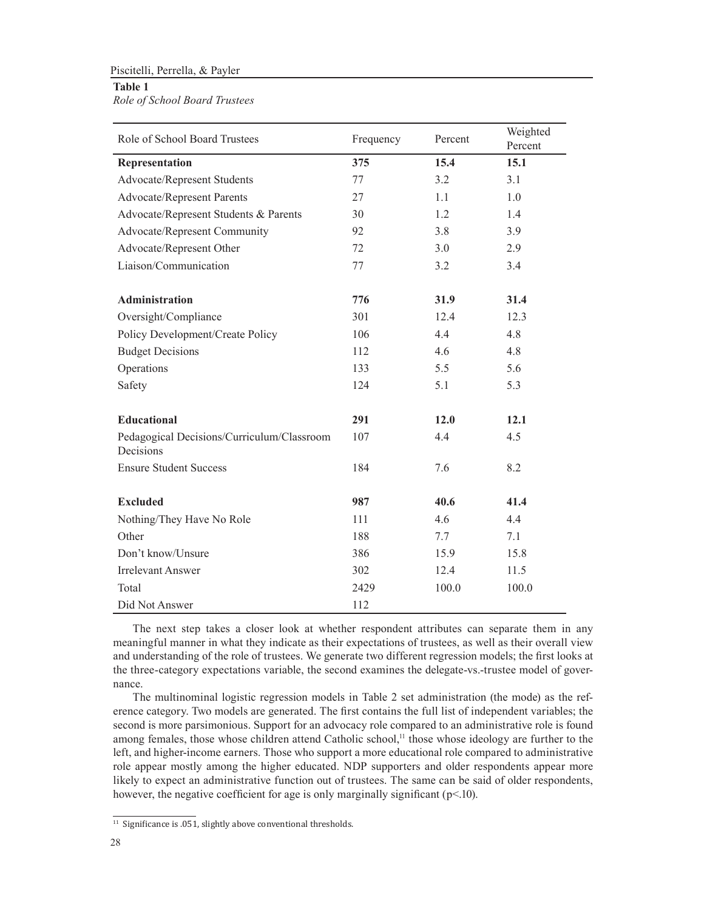## **Table 1**

*Role of School Board Trustees*

| Role of School Board Trustees                           | Frequency | Percent | Weighted<br>Percent |  |
|---------------------------------------------------------|-----------|---------|---------------------|--|
| Representation                                          | 375       | 15.4    | 15.1                |  |
| Advocate/Represent Students                             | 77        | 3.2     | 3.1                 |  |
| <b>Advocate/Represent Parents</b>                       | 27        | 1.1     | 1.0                 |  |
| Advocate/Represent Students & Parents                   | 30        | 1.2     | 1.4                 |  |
| Advocate/Represent Community                            | 92        | 3.8     | 3.9                 |  |
| Advocate/Represent Other                                | 72        | 3.0     | 2.9                 |  |
| Liaison/Communication                                   | 77        | 3.2     | 3.4                 |  |
| <b>Administration</b>                                   | 776       | 31.9    | 31.4                |  |
| Oversight/Compliance                                    | 301       | 12.4    | 12.3                |  |
| Policy Development/Create Policy                        | 106       | 4.4     | 4.8                 |  |
| <b>Budget Decisions</b>                                 | 112       | 4.6     | 4.8                 |  |
| Operations                                              | 133       | 5.5     | 5.6                 |  |
| Safety                                                  | 124       | 5.1     | 5.3                 |  |
| Educational                                             | 291       | 12.0    | 12.1                |  |
| Pedagogical Decisions/Curriculum/Classroom<br>Decisions | 107       | 4.4     | 4.5                 |  |
| <b>Ensure Student Success</b>                           | 184       | 7.6     | 8.2                 |  |
| <b>Excluded</b>                                         | 987       | 40.6    | 41.4                |  |
| Nothing/They Have No Role                               | 111       | 4.6     | 4.4                 |  |
| Other                                                   | 188       | 7.7     | 7.1                 |  |
| Don't know/Unsure                                       | 386       | 15.9    | 15.8                |  |
| <b>Irrelevant Answer</b>                                | 302       | 12.4    | 11.5                |  |
| Total                                                   | 2429      | 100.0   | 100.0               |  |
| Did Not Answer                                          | 112       |         |                     |  |

The next step takes a closer look at whether respondent attributes can separate them in any meaningful manner in what they indicate as their expectations of trustees, as well as their overall view and understanding of the role of trustees. We generate two different regression models; the first looks at the three-category expectations variable, the second examines the delegate-vs.-trustee model of governance.

The multinominal logistic regression models in Table 2 set administration (the mode) as the reference category. Two models are generated. The first contains the full list of independent variables; the second is more parsimonious. Support for an advocacy role compared to an administrative role is found among females, those whose children attend Catholic school,<sup>11</sup> those whose ideology are further to the left, and higher-income earners. Those who support a more educational role compared to administrative role appear mostly among the higher educated. NDP supporters and older respondents appear more likely to expect an administrative function out of trustees. The same can be said of older respondents, however, the negative coefficient for age is only marginally significant ( $p<.10$ ).

<sup>&</sup>lt;sup>11</sup> Significance is .051, slightly above conventional thresholds.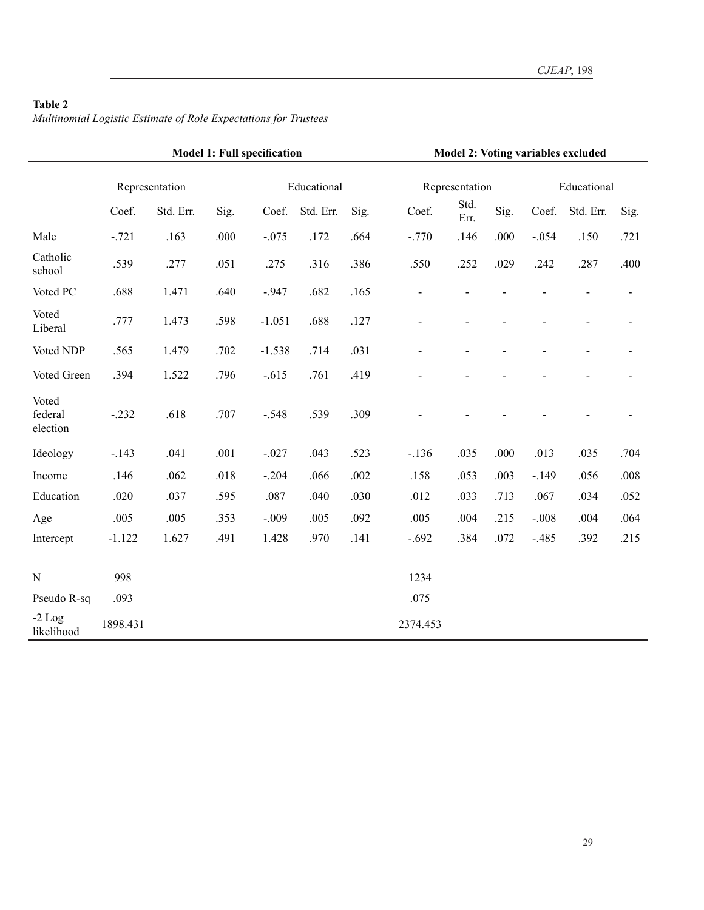# **Table 2**

*Multinomial Logistic Estimate of Role Expectations for Trustees*

|                              | <b>Model 1: Full specification</b> |           |      |             |           | <b>Model 2: Voting variables excluded</b> |                |              |                |                |                |                |
|------------------------------|------------------------------------|-----------|------|-------------|-----------|-------------------------------------------|----------------|--------------|----------------|----------------|----------------|----------------|
|                              | Representation                     |           |      | Educational |           |                                           | Representation |              |                | Educational    |                |                |
|                              | Coef.                              | Std. Err. | Sig. | Coef.       | Std. Err. | Sig.                                      | Coef.          | Std.<br>Err. | Sig.           | Coef.          | Std. Err.      | Sig.           |
| Male                         | $-.721$                            | .163      | .000 | $-.075$     | .172      | .664                                      | $-.770$        | .146         | .000           | $-.054$        | .150           | .721           |
| Catholic<br>school           | .539                               | .277      | .051 | .275        | .316      | .386                                      | .550           | .252         | .029           | .242           | .287           | .400           |
| Voted PC                     | .688                               | 1.471     | .640 | $-947$      | .682      | .165                                      |                |              |                |                |                |                |
| Voted<br>Liberal             | .777                               | 1.473     | .598 | $-1.051$    | .688      | .127                                      | $\overline{a}$ |              |                | $\overline{a}$ | $\overline{a}$ | $\overline{a}$ |
| Voted NDP                    | .565                               | 1.479     | .702 | $-1.538$    | .714      | .031                                      |                |              | $\overline{a}$ | $\overline{a}$ | $\overline{a}$ |                |
| Voted Green                  | .394                               | 1.522     | .796 | $-.615$     | .761      | .419                                      |                |              |                |                |                |                |
| Voted<br>federal<br>election | $-.232$                            | .618      | .707 | $-.548$     | .539      | .309                                      |                |              |                |                |                |                |
| Ideology                     | $-.143$                            | .041      | .001 | $-.027$     | .043      | .523                                      | $-.136$        | .035         | .000           | .013           | .035           | .704           |
| Income                       | .146                               | .062      | .018 | $-.204$     | .066      | .002                                      | .158           | .053         | .003           | $-.149$        | .056           | .008           |
| Education                    | .020                               | .037      | .595 | .087        | .040      | .030                                      | .012           | .033         | .713           | .067           | .034           | .052           |
| Age                          | .005                               | .005      | .353 | $-.009$     | .005      | .092                                      | .005           | .004         | .215           | $-.008$        | .004           | .064           |
| Intercept                    | $-1.122$                           | 1.627     | .491 | 1.428       | .970      | .141                                      | $-.692$        | .384         | .072           | $-.485$        | .392           | .215           |
| $\mathbf N$                  | 998                                |           |      |             |           |                                           | 1234           |              |                |                |                |                |
| Pseudo R-sq                  | .093                               |           |      |             |           |                                           | .075           |              |                |                |                |                |
| $-2$ Log<br>likelihood       | 1898.431                           |           |      |             |           |                                           | 2374.453       |              |                |                |                |                |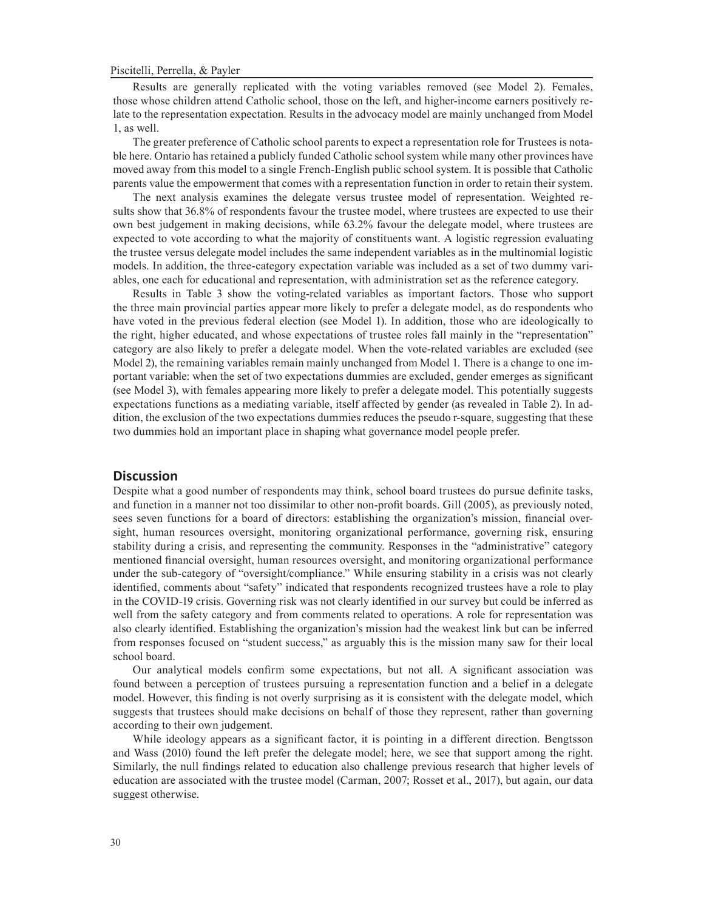Results are generally replicated with the voting variables removed (see Model 2). Females, those whose children attend Catholic school, those on the left, and higher-income earners positively relate to the representation expectation. Results in the advocacy model are mainly unchanged from Model 1, as well.

The greater preference of Catholic school parents to expect a representation role for Trustees is notable here. Ontario has retained a publicly funded Catholic school system while many other provinces have moved away from this model to a single French-English public school system. It is possible that Catholic parents value the empowerment that comes with a representation function in order to retain their system.

The next analysis examines the delegate versus trustee model of representation. Weighted results show that 36.8% of respondents favour the trustee model, where trustees are expected to use their own best judgement in making decisions, while 63.2% favour the delegate model, where trustees are expected to vote according to what the majority of constituents want. A logistic regression evaluating the trustee versus delegate model includes the same independent variables as in the multinomial logistic models. In addition, the three-category expectation variable was included as a set of two dummy variables, one each for educational and representation, with administration set as the reference category.

Results in Table 3 show the voting-related variables as important factors. Those who support the three main provincial parties appear more likely to prefer a delegate model, as do respondents who have voted in the previous federal election (see Model 1). In addition, those who are ideologically to the right, higher educated, and whose expectations of trustee roles fall mainly in the "representation" category are also likely to prefer a delegate model. When the vote-related variables are excluded (see Model 2), the remaining variables remain mainly unchanged from Model 1. There is a change to one important variable: when the set of two expectations dummies are excluded, gender emerges as significant (see Model 3), with females appearing more likely to prefer a delegate model. This potentially suggests expectations functions as a mediating variable, itself affected by gender (as revealed in Table 2). In addition, the exclusion of the two expectations dummies reduces the pseudo r-square, suggesting that these two dummies hold an important place in shaping what governance model people prefer.

### **Discussion**

Despite what a good number of respondents may think, school board trustees do pursue definite tasks, and function in a manner not too dissimilar to other non-profit boards. Gill (2005), as previously noted, sees seven functions for a board of directors: establishing the organization's mission, financial oversight, human resources oversight, monitoring organizational performance, governing risk, ensuring stability during a crisis, and representing the community. Responses in the "administrative" category mentioned financial oversight, human resources oversight, and monitoring organizational performance under the sub-category of "oversight/compliance." While ensuring stability in a crisis was not clearly identified, comments about "safety" indicated that respondents recognized trustees have a role to play in the COVID-19 crisis. Governing risk was not clearly identified in our survey but could be inferred as well from the safety category and from comments related to operations. A role for representation was also clearly identified. Establishing the organization's mission had the weakest link but can be inferred from responses focused on "student success," as arguably this is the mission many saw for their local school board.

Our analytical models confirm some expectations, but not all. A significant association was found between a perception of trustees pursuing a representation function and a belief in a delegate model. However, this finding is not overly surprising as it is consistent with the delegate model, which suggests that trustees should make decisions on behalf of those they represent, rather than governing according to their own judgement.

While ideology appears as a significant factor, it is pointing in a different direction. Bengtsson and Wass (2010) found the left prefer the delegate model; here, we see that support among the right. Similarly, the null findings related to education also challenge previous research that higher levels of education are associated with the trustee model (Carman, 2007; Rosset et al., 2017), but again, our data suggest otherwise.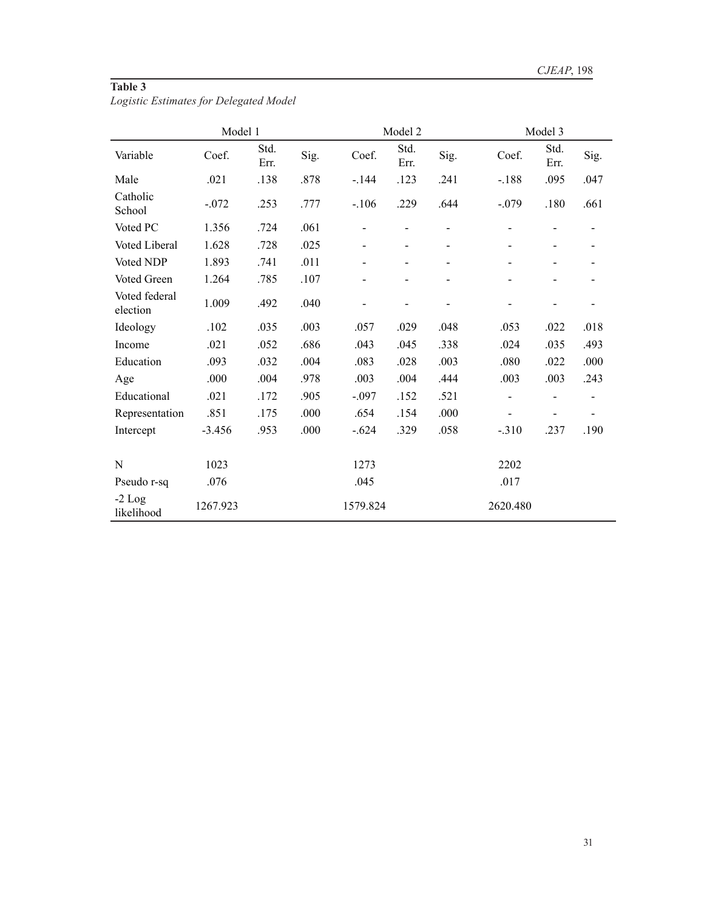# **Table 3**

*Logistic Estimates for Delegated Model*

|                           | Model 1  |              |      |          | Model 2      |      | Model 3                  |                          |      |  |
|---------------------------|----------|--------------|------|----------|--------------|------|--------------------------|--------------------------|------|--|
| Variable                  | Coef.    | Std.<br>Err. | Sig. | Coef.    | Std.<br>Err. | Sig. | Coef.                    | Std.<br>Err.             | Sig. |  |
| Male                      | .021     | .138         | .878 | $-144$   | .123         | .241 | $-.188$                  | .095                     | .047 |  |
| Catholic<br>School        | $-.072$  | .253         | .777 | $-.106$  | .229         | .644 | $-.079$                  | .180                     | .661 |  |
| Voted PC                  | 1.356    | .724         | .061 |          |              |      |                          |                          |      |  |
| Voted Liberal             | 1.628    | .728         | .025 |          |              |      |                          |                          |      |  |
| Voted NDP                 | 1.893    | .741         | .011 |          |              | -    | $\overline{\phantom{a}}$ |                          |      |  |
| Voted Green               | 1.264    | .785         | .107 |          |              |      |                          |                          |      |  |
| Voted federal<br>election | 1.009    | .492         | .040 |          |              |      |                          |                          |      |  |
| Ideology                  | .102     | .035         | .003 | .057     | .029         | .048 | .053                     | .022                     | .018 |  |
| Income                    | .021     | .052         | .686 | .043     | .045         | .338 | .024                     | .035                     | .493 |  |
| Education                 | .093     | .032         | .004 | .083     | .028         | .003 | .080                     | .022                     | .000 |  |
| Age                       | .000     | .004         | .978 | .003     | .004         | .444 | .003                     | .003                     | .243 |  |
| Educational               | .021     | .172         | .905 | $-.097$  | .152         | .521 | $\overline{\phantom{0}}$ | $\overline{\phantom{0}}$ |      |  |
| Representation            | .851     | .175         | .000 | .654     | .154         | .000 |                          | -                        |      |  |
| Intercept                 | $-3.456$ | .953         | .000 | $-.624$  | .329         | .058 | $-.310$                  | .237                     | .190 |  |
|                           |          |              |      |          |              |      |                          |                          |      |  |
| N                         | 1023     |              |      | 1273     |              |      | 2202                     |                          |      |  |
| Pseudo r-sq               | .076     |              |      | .045     |              |      | .017                     |                          |      |  |
| $-2$ Log<br>likelihood    | 1267.923 |              |      | 1579.824 |              |      | 2620.480                 |                          |      |  |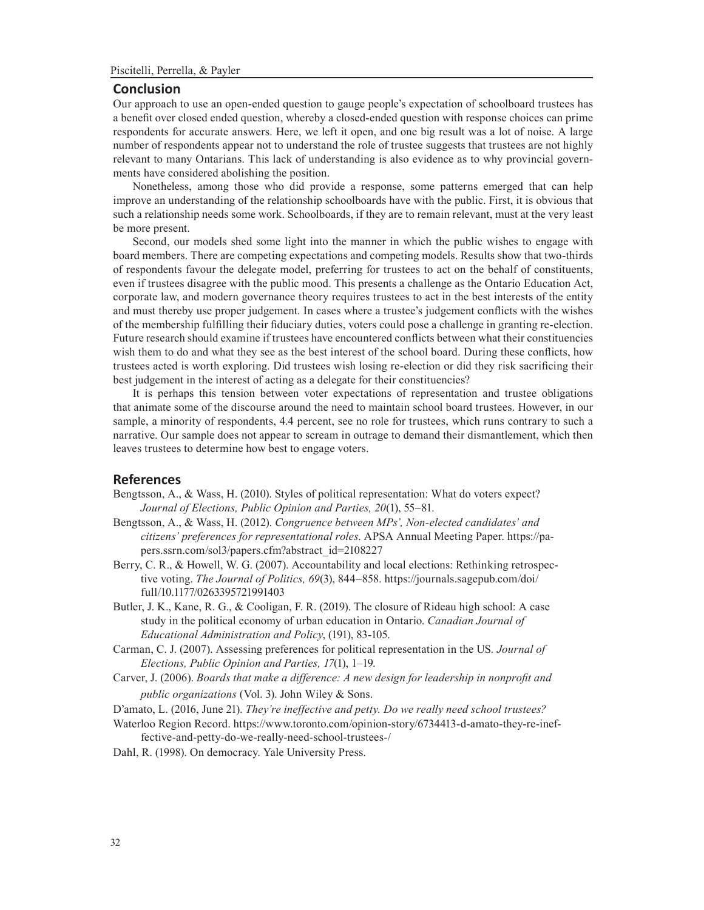#### **Conclusion**

Our approach to use an open-ended question to gauge people's expectation of schoolboard trustees has a benefit over closed ended question, whereby a closed-ended question with response choices can prime respondents for accurate answers. Here, we left it open, and one big result was a lot of noise. A large number of respondents appear not to understand the role of trustee suggests that trustees are not highly relevant to many Ontarians. This lack of understanding is also evidence as to why provincial governments have considered abolishing the position.

Nonetheless, among those who did provide a response, some patterns emerged that can help improve an understanding of the relationship schoolboards have with the public. First, it is obvious that such a relationship needs some work. Schoolboards, if they are to remain relevant, must at the very least be more present.

Second, our models shed some light into the manner in which the public wishes to engage with board members. There are competing expectations and competing models. Results show that two-thirds of respondents favour the delegate model, preferring for trustees to act on the behalf of constituents, even if trustees disagree with the public mood. This presents a challenge as the Ontario Education Act, corporate law, and modern governance theory requires trustees to act in the best interests of the entity and must thereby use proper judgement. In cases where a trustee's judgement conflicts with the wishes of the membership fulfilling their fiduciary duties, voters could pose a challenge in granting re-election. Future research should examine if trustees have encountered conflicts between what their constituencies wish them to do and what they see as the best interest of the school board. During these conflicts, how trustees acted is worth exploring. Did trustees wish losing re-election or did they risk sacrificing their best judgement in the interest of acting as a delegate for their constituencies?

It is perhaps this tension between voter expectations of representation and trustee obligations that animate some of the discourse around the need to maintain school board trustees. However, in our sample, a minority of respondents, 4.4 percent, see no role for trustees, which runs contrary to such a narrative. Our sample does not appear to scream in outrage to demand their dismantlement, which then leaves trustees to determine how best to engage voters.

## **References**

- Bengtsson, A., & Wass, H. (2010). Styles of political representation: What do voters expect? *Journal of Elections, Public Opinion and Parties, 20*(1), 55–81.
- Bengtsson, A., & Wass, H. (2012). *Congruence between MPs', Non-elected candidates' and citizens' preferences for representational roles*. APSA Annual Meeting Paper. https://papers.ssrn.com/sol3/papers.cfm?abstract\_id=2108227
- Berry, C. R., & Howell, W. G. (2007). Accountability and local elections: Rethinking retrospective voting. *The Journal of Politics, 69*(3), 844–858. https://journals.sagepub.com/doi/ full/10.1177/0263395721991403
- Butler, J. K., Kane, R. G., & Cooligan, F. R. (2019). The closure of Rideau high school: A case study in the political economy of urban education in Ontario. *Canadian Journal of Educational Administration and Policy*, (191), 83-105.
- Carman, C. J. (2007). Assessing preferences for political representation in the US*. Journal of Elections, Public Opinion and Parties, 17*(1), 1–19.
- Carver, J. (2006). *Boards that make a difference: A new design for leadership in nonprofit and public organizations* (Vol. 3). John Wiley & Sons.

D'amato, L. (2016, June 21). *They're ineffective and petty. Do we really need school trustees?*

- Waterloo Region Record. https://www.toronto.com/opinion-story/6734413-d-amato-they-re-ineffective-and-petty-do-we-really-need-school-trustees-/
- Dahl, R. (1998). On democracy. Yale University Press.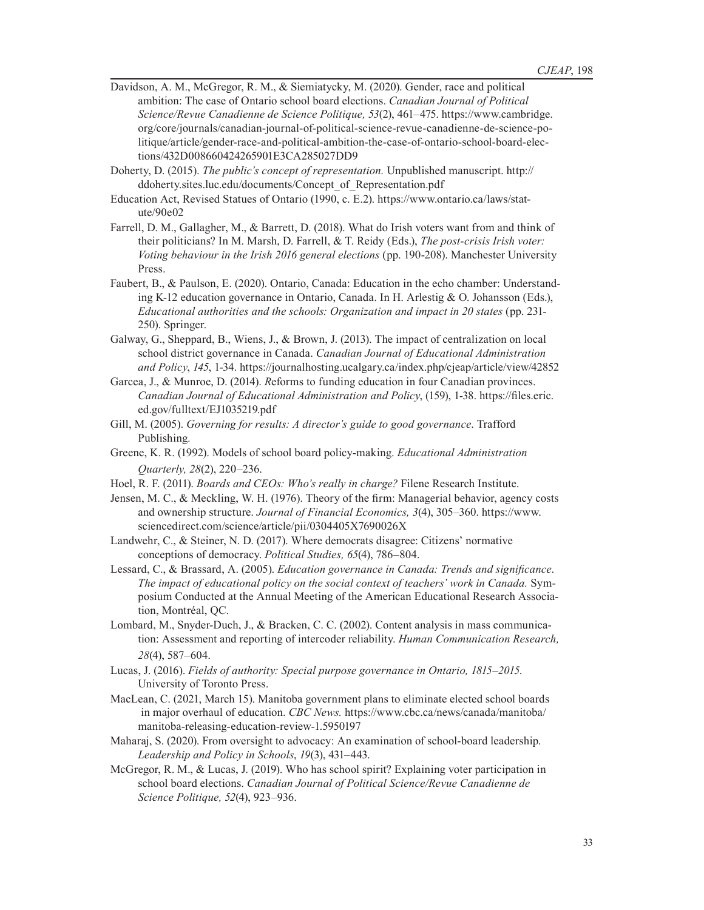- Davidson, A. M., McGregor, R. M., & Siemiatycky, M. (2020). Gender, race and political ambition: The case of Ontario school board elections. *Canadian Journal of Political Science/Revue Canadienne de Science Politique, 53*(2), 461–475. https://www.cambridge. org/core/journals/canadian-journal-of-political-science-revue-canadienne-de-science-politique/article/gender-race-and-political-ambition-the-case-of-ontario-school-board-elections/432D008660424265901E3CA285027DD9
- Doherty, D. (2015). *The public's concept of representation.* Unpublished manuscript. http:// ddoherty.sites.luc.edu/documents/Concept\_of\_Representation.pdf
- Education Act, Revised Statues of Ontario (1990, c. E.2). https://www.ontario.ca/laws/statute/90e02
- Farrell, D. M., Gallagher, M., & Barrett, D. (2018). What do Irish voters want from and think of their politicians? In M. Marsh, D. Farrell, & T. Reidy (Eds.), *The post-crisis Irish voter: Voting behaviour in the Irish 2016 general elections* (pp. 190-208). Manchester University Press.
- Faubert, B., & Paulson, E. (2020). Ontario, Canada: Education in the echo chamber: Understanding K-12 education governance in Ontario, Canada. In H. Arlestig & O. Johansson (Eds.), *Educational authorities and the schools: Organization and impact in 20 states* (pp. 231- 250). Springer.
- Galway, G., Sheppard, B., Wiens, J., & Brown, J. (2013). The impact of centralization on local school district governance in Canada. *Canadian Journal of Educational Administration and Policy*, *145*, 1-34. https://journalhosting.ucalgary.ca/index.php/cjeap/article/view/42852
- Garcea, J., & Munroe, D. (2014). *R*eforms to funding education in four Canadian provinces. *Canadian Journal of Educational Administration and Policy*, (159), 1-38. https://files.eric. ed.gov/fulltext/EJ1035219.pdf
- Gill, M. (2005). *Governing for results: A director's guide to good governance*. Trafford Publishing*.*
- Greene, K. R. (1992). Models of school board policy-making. *Educational Administration Quarterly, 28*(2), 220–236.
- Hoel, R. F. (2011). *Boards and CEOs: Who's really in charge?* Filene Research Institute.
- Jensen, M. C., & Meckling, W. H. (1976). Theory of the firm: Managerial behavior, agency costs and ownership structure. *Journal of Financial Economics, 3*(4), 305–360. https://www. sciencedirect.com/science/article/pii/0304405X7690026X
- Landwehr, C., & Steiner, N. D. (2017). Where democrats disagree: Citizens' normative conceptions of democracy. *Political Studies, 65*(4), 786–804.
- Lessard, C., & Brassard, A. (2005). *Education governance in Canada: Trends and significance*. *The impact of educational policy on the social context of teachers' work in Canada.* Symposium Conducted at the Annual Meeting of the American Educational Research Association, Montréal, QC.
- Lombard, M., Snyder-Duch, J., & Bracken, C. C. (2002). Content analysis in mass communication: Assessment and reporting of intercoder reliability. *Human Communication Research, 28*(4), 587–604.
- Lucas, J. (2016). *Fields of authority: Special purpose governance in Ontario, 1815–2015*. University of Toronto Press.
- MacLean, C. (2021, March 15). Manitoba government plans to eliminate elected school boards in major overhaul of education. *CBC News.* https://www.cbc.ca/news/canada/manitoba/ manitoba-releasing-education-review-1.5950197
- Maharaj, S. (2020). From oversight to advocacy: An examination of school-board leadership. *Leadership and Policy in Schools*, *19*(3), 431–443.
- McGregor, R. M., & Lucas, J. (2019). Who has school spirit? Explaining voter participation in school board elections. *Canadian Journal of Political Science/Revue Canadienne de Science Politique, 52*(4), 923–936.